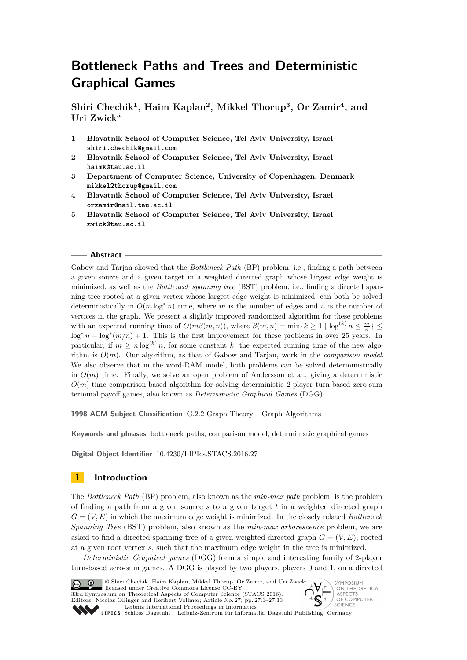# **Bottleneck Paths and Trees and Deterministic Graphical Games**

**Shiri Chechik<sup>1</sup> , Haim Kaplan<sup>2</sup> , Mikkel Thorup<sup>3</sup> , Or Zamir<sup>4</sup> , and Uri Zwick<sup>5</sup>**

- **1 Blavatnik School of Computer Science, Tel Aviv University, Israel shiri.chechik@gmail.com**
- **2 Blavatnik School of Computer Science, Tel Aviv University, Israel haimk@tau.ac.il**
- **3 Department of Computer Science, University of Copenhagen, Denmark mikkel2thorup@gmail.com**
- **4 Blavatnik School of Computer Science, Tel Aviv University, Israel orzamir@mail.tau.ac.il**
- **5 Blavatnik School of Computer Science, Tel Aviv University, Israel zwick@tau.ac.il**

#### **Abstract**

Gabow and Tarjan showed that the *Bottleneck Path* (BP) problem, i.e., finding a path between a given source and a given target in a weighted directed graph whose largest edge weight is minimized, as well as the *Bottleneck spanning tree* (BST) problem, i.e., finding a directed spanning tree rooted at a given vertex whose largest edge weight is minimized, can both be solved deterministically in  $O(m \log^* n)$  time, where *m* is the number of edges and *n* is the number of vertices in the graph. We present a slightly improved randomized algorithm for these problems with an expected running time of  $O(m\beta(m,n))$ , where  $\beta(m,n) = \min\{k \geq 1 \mid \log^{(k)} n \leq \frac{m}{n}\}\leq$  $\log^* n - \log^* (m/n) + 1$ . This is the first improvement for these problems in over 25 years. In particular, if  $m \ge n \log^{(k)} n$ , for some constant k, the expected running time of the new algorithm is *O*(*m*). Our algorithm, as that of Gabow and Tarjan, work in the *comparison model*. We also observe that in the word-RAM model, both problems can be solved deterministically in  $O(m)$  time. Finally, we solve an open problem of Andersson et al., giving a deterministic  $O(m)$ -time comparison-based algorithm for solving deterministic 2-player turn-based zero-sum terminal payoff games, also known as *Deterministic Graphical Games* (DGG).

**1998 ACM Subject Classification** G.2.2 Graph Theory – Graph Algorithms

**Keywords and phrases** bottleneck paths, comparison model, deterministic graphical games

**Digital Object Identifier** [10.4230/LIPIcs.STACS.2016.27](http://dx.doi.org/10.4230/LIPIcs.STACS.2016.27)

# **1 Introduction**

The *Bottleneck Path* (BP) problem, also known as the *min-max path* problem, is the problem of finding a path from a given source *s* to a given target *t* in a weighted directed graph  $G = (V, E)$  in which the maximum edge weight is minimized. In the closely related *Bottleneck Spanning Tree* (BST) problem, also known as the *min-max arborescence* problem, we are asked to find a directed spanning tree of a given weighted directed graph  $G = (V, E)$ , rooted at a given root vertex *s*, such that the maximum edge weight in the tree is minimized.

*Deterministic Graphical games* (DGG) form a simple and interesting family of 2-player turn-based zero-sum games. A DGG is played by two players, players 0 and 1, on a directed



© Shiri Chechik, Haim Kaplan, Mikkel Thorup, Or Zamir, and Uri Zwick; licensed under Creative Commons License CC-BY 33rd Symposium on Theoretical Aspects of Computer Science (STACS 2016). Editors: Nicolas Ollinger and Heribert Vollmer; Article No. 27; pp. 27:1–27[:13](#page-12-0) [Leibniz International Proceedings in Informatics](http://www.dagstuhl.de/lipics/) [Schloss Dagstuhl – Leibniz-Zentrum für Informatik, Dagstuhl Publishing, Germany](http://www.dagstuhl.de)<br>Liebniz-Zentrum für Informatik, Dagstuhl Publishing, Germany

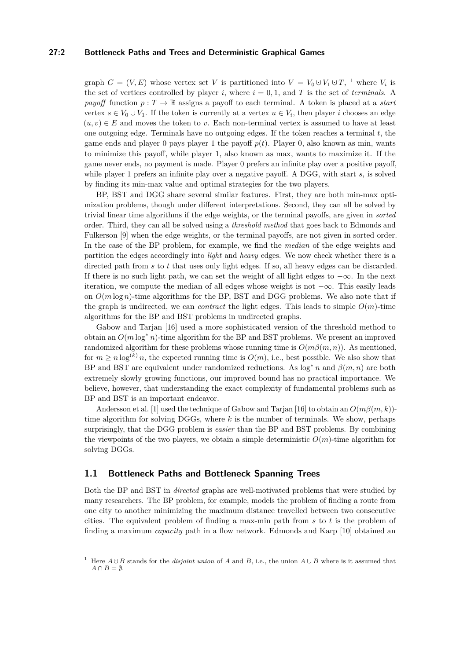## **27:2 Bottleneck Paths and Trees and Deterministic Graphical Games**

graph  $G = (V, E)$  whose vertex set *V* is partitioned into  $V = V_0 \cup V_1 \cup T$  $V = V_0 \cup V_1 \cup T$  $V = V_0 \cup V_1 \cup T$ , <sup>1</sup> where  $V_i$  is the set of vertices controlled by player *i*, where  $i = 0, 1$ , and *T* is the set of *terminals*. A *payoff* function  $p: T \to \mathbb{R}$  assigns a payoff to each terminal. A token is placed at a *start* vertex  $s \in V_0 \cup V_1$ . If the token is currently at a vertex  $u \in V_i$ , then player *i* chooses an edge  $(u, v) \in E$  and moves the token to *v*. Each non-terminal vertex is assumed to have at least one outgoing edge. Terminals have no outgoing edges. If the token reaches a terminal *t*, the game ends and player 0 pays player 1 the payoff  $p(t)$ . Player 0, also known as min, wants to minimize this payoff, while player 1, also known as max, wants to maximize it. If the game never ends, no payment is made. Player 0 prefers an infinite play over a positive payoff, while player 1 prefers an infinite play over a negative payoff. A DGG, with start *s*, is solved by finding its min-max value and optimal strategies for the two players.

BP, BST and DGG share several similar features. First, they are both min-max optimization problems, though under different interpretations. Second, they can all be solved by trivial linear time algorithms if the edge weights, or the terminal payoffs, are given in *sorted* order. Third, they can all be solved using a *threshold method* that goes back to Edmonds and Fulkerson [\[9\]](#page-12-1) when the edge weights, or the terminal payoffs, are not given in sorted order. In the case of the BP problem, for example, we find the *median* of the edge weights and partition the edges accordingly into *light* and *heavy* edges. We now check whether there is a directed path from *s* to *t* that uses only light edges. If so, all heavy edges can be discarded. If there is no such light path, we can set the weight of all light edges to  $-\infty$ . In the next iteration, we compute the median of all edges whose weight is not  $-\infty$ . This easily leads on  $O(m \log n)$ -time algorithms for the BP, BST and DGG problems. We also note that if the graph is undirected, we can *contract* the light edges. This leads to simple  $O(m)$ -time algorithms for the BP and BST problems in undirected graphs.

Gabow and Tarjan [\[16\]](#page-12-2) used a more sophisticated version of the threshold method to obtain an  $O(m \log^* n)$ -time algorithm for the BP and BST problems. We present an improved randomized algorithm for these problems whose running time is  $O(m\beta(m,n))$ . As mentioned, for  $m > n \log^{(k)} n$ , the expected running time is  $O(m)$ , i.e., best possible. We also show that BP and BST are equivalent under randomized reductions. As  $\log^* n$  and  $\beta(m, n)$  are both extremely slowly growing functions, our improved bound has no practical importance. We believe, however, that understanding the exact complexity of fundamental problems such as BP and BST is an important endeavor.

Andersson et al. [\[1\]](#page-11-0) used the technique of Gabow and Tarjan [\[16\]](#page-12-2) to obtain an *O*(*mβ*(*m, k*)) time algorithm for solving DGGs, where *k* is the number of terminals. We show, perhaps surprisingly, that the DGG problem is *easier* than the BP and BST problems. By combining the viewpoints of the two players, we obtain a simple deterministic  $O(m)$ -time algorithm for solving DGGs.

# **1.1 Bottleneck Paths and Bottleneck Spanning Trees**

Both the BP and BST in *directed* graphs are well-motivated problems that were studied by many researchers. The BP problem, for example, models the problem of finding a route from one city to another minimizing the maximum distance travelled between two consecutive cities. The equivalent problem of finding a max-min path from *s* to *t* is the problem of finding a maximum *capacity* path in a flow network. Edmonds and Karp [\[10\]](#page-12-3) obtained an

<span id="page-1-0"></span><sup>&</sup>lt;sup>1</sup> Here  $A \cup B$  stands for the *disjoint union* of *A* and *B*, i.e., the union  $A \cup B$  where is it assumed that  $A \cap B = \emptyset$ .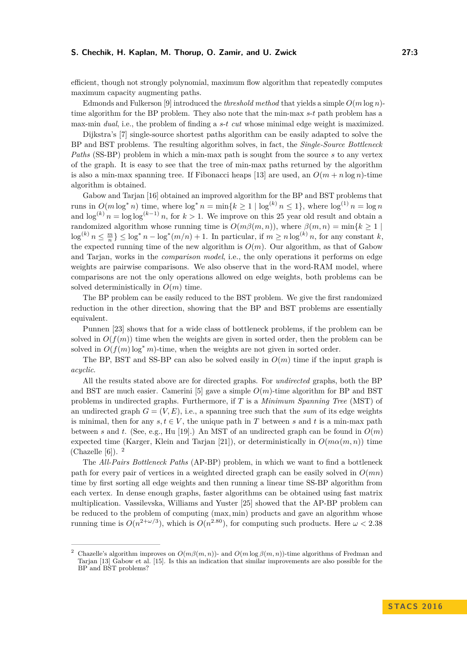efficient, though not strongly polynomial, maximum flow algorithm that repeatedly computes maximum capacity augmenting paths.

Edmonds and Fulkerson [\[9\]](#page-12-1) introduced the *threshold method* that yields a simple  $O(m \log n)$ time algorithm for the BP problem. They also note that the min-max *s*-*t* path problem has a max-min *dual*, i.e., the problem of finding a *s*-*t cut* whose minimal edge weight is maximized.

Dijkstra's [\[7\]](#page-12-4) single-source shortest paths algorithm can be easily adapted to solve the BP and BST problems. The resulting algorithm solves, in fact, the *Single-Source Bottleneck Paths* (SS-BP) problem in which a min-max path is sought from the source *s* to any vertex of the graph. It is easy to see that the tree of min-max paths returned by the algorithm is also a min-max spanning tree. If Fibonacci heaps [\[13\]](#page-12-5) are used, an  $O(m + n \log n)$ -time algorithm is obtained.

Gabow and Tarjan [\[16\]](#page-12-2) obtained an improved algorithm for the BP and BST problems that runs in  $O(m \log^* n)$  time, where  $\log^* n = \min\{k \ge 1 \mid \log^{(k)} n \le 1\}$ , where  $\log^{(1)} n = \log n$ and  $\log^{(k)} n = \log \log^{(k-1)} n$ , for  $k > 1$ . We improve on this 25 year old result and obtain a randomized algorithm whose running time is  $O(m\beta(m,n))$ , where  $\beta(m,n) = \min\{k \geq 1 \mid$  $\log^{(k)} n \leq \frac{m}{n}$   $\leq \log^* n - \log^*(m/n) + 1$ . In particular, if  $m \geq n \log^{(k)} n$ , for any constant *k*, the expected running time of the new algorithm is  $O(m)$ . Our algorithm, as that of Gabow and Tarjan, works in the *comparison model*, i.e., the only operations it performs on edge weights are pairwise comparisons. We also observe that in the word-RAM model, where comparisons are not the only operations allowed on edge weights, both problems can be solved deterministically in  $O(m)$  time.

The BP problem can be easily reduced to the BST problem. We give the first randomized reduction in the other direction, showing that the BP and BST problems are essentially equivalent.

Punnen [\[23\]](#page-12-6) shows that for a wide class of bottleneck problems, if the problem can be solved in  $O(f(m))$  time when the weights are given in sorted order, then the problem can be solved in  $O(f(m) \log^* m)$ -time, when the weights are not given in sorted order.

The BP, BST and SS-BP can also be solved easily in  $O(m)$  time if the input graph is *acyclic*.

All the results stated above are for directed graphs. For *undirected* graphs, both the BP and BST are much easier. Camerini [\[5\]](#page-11-1) gave a simple  $O(m)$ -time algorithm for BP and BST problems in undirected graphs. Furthermore, if *T* is a *Minimum Spanning Tree* (MST) of an undirected graph  $G = (V, E)$ , i.e., a spanning tree such that the *sum* of its edge weights is minimal, then for any  $s, t \in V$ , the unique path in T between s and t is a min-max path between *s* and *t*. (See, e.g., Hu [\[19\]](#page-12-7).) An MST of an undirected graph can be found in  $O(m)$ expected time (Karger, Klein and Tarjan [\[21\]](#page-12-8)), or deterministically in  $O(m\alpha(m,n))$  time (Chazelle  $[6]$ ). <sup>[2](#page-2-0)</sup>

The *All-Pairs Bottleneck Paths* (AP-BP) problem, in which we want to find a bottleneck path for every pair of vertices in a weighted directed graph can be easily solved in *O*(*mn*) time by first sorting all edge weights and then running a linear time SS-BP algorithm from each vertex. In dense enough graphs, faster algorithms can be obtained using fast matrix multiplication. Vassilevska, Williams and Yuster [\[25\]](#page-12-9) showed that the AP-BP problem can be reduced to the problem of computing (max*,* min) products and gave an algorithm whose running time is  $O(n^{2+\omega/3})$ , which is  $O(n^{2.80})$ , for computing such products. Here  $\omega < 2.38$ 

<span id="page-2-0"></span><sup>2</sup> Chazelle's algorithm improves on *O*(*mβ*(*m, n*))- and *O*(*m* log *β*(*m, n*))-time algorithms of Fredman and Tarjan [\[13\]](#page-12-5) Gabow et al. [\[15\]](#page-12-10). Is this an indication that similar improvements are also possible for the BP and BST problems?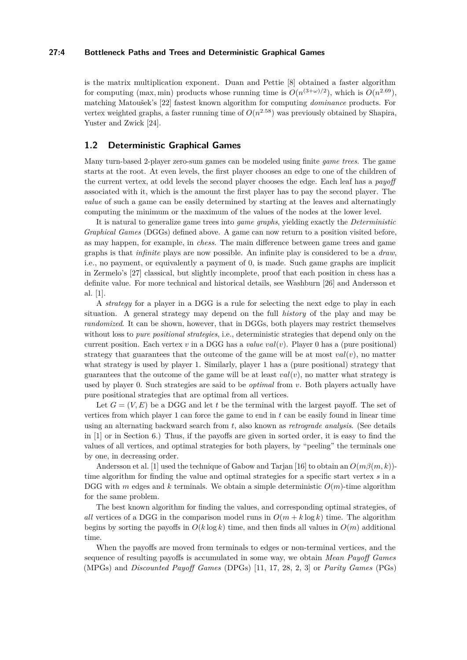## **27:4 Bottleneck Paths and Trees and Deterministic Graphical Games**

is the matrix multiplication exponent. Duan and Pettie [\[8\]](#page-12-11) obtained a faster algorithm for computing (max, min) products whose running time is  $O(n^{(3+\omega)/2})$ , which is  $O(n^{2.69})$ , matching Matoušek's [\[22\]](#page-12-12) fastest known algorithm for computing *dominance* products. For vertex weighted graphs, a faster running time of  $O(n^{2.58})$  was previously obtained by Shapira, Yuster and Zwick [\[24\]](#page-12-13).

## <span id="page-3-0"></span>**1.2 Deterministic Graphical Games**

Many turn-based 2-player zero-sum games can be modeled using finite *game trees*. The game starts at the root. At even levels, the first player chooses an edge to one of the children of the current vertex, at odd levels the second player chooses the edge. Each leaf has a *payoff* associated with it, which is the amount the first player has to pay the second player. The *value* of such a game can be easily determined by starting at the leaves and alternatingly computing the minimum or the maximum of the values of the nodes at the lower level.

It is natural to generalize game trees into *game graphs*, yielding exactly the *Deterministic Graphical Games* (DGGs) defined above. A game can now return to a position visited before, as may happen, for example, in *chess*. The main difference between game trees and game graphs is that *infinite* plays are now possible. An infinite play is considered to be a *draw*, i.e., no payment, or equivalently a payment of 0, is made. Such game graphs are implicit in Zermelo's [\[27\]](#page-12-14) classical, but slightly incomplete, proof that each position in chess has a definite value. For more technical and historical details, see Washburn [\[26\]](#page-12-15) and Andersson et al. [\[1\]](#page-11-0).

A *strategy* for a player in a DGG is a rule for selecting the next edge to play in each situation. A general strategy may depend on the full *history* of the play and may be *randomized*. It can be shown, however, that in DGGs, both players may restrict themselves without loss to *pure positional strategies*, i.e., deterministic strategies that depend only on the current position. Each vertex  $v$  in a DGG has a *value*  $val(v)$ . Player 0 has a (pure positional) strategy that guarantees that the outcome of the game will be at most  $val(v)$ , no matter what strategy is used by player 1. Similarly, player 1 has a (pure positional) strategy that guarantees that the outcome of the game will be at least  $val(v)$ , no matter what strategy is used by player 0. Such strategies are said to be *optimal* from *v*. Both players actually have pure positional strategies that are optimal from all vertices.

Let  $G = (V, E)$  be a DGG and let t be the terminal with the largest payoff. The set of vertices from which player 1 can force the game to end in *t* can be easily found in linear time using an alternating backward search from *t*, also known as *retrograde analysis*. (See details in [\[1\]](#page-11-0) or in Section [6.](#page-9-0)) Thus, if the payoffs are given in sorted order, it is easy to find the values of all vertices, and optimal strategies for both players, by "peeling" the terminals one by one, in decreasing order.

Andersson et al. [\[1\]](#page-11-0) used the technique of Gabow and Tarjan [\[16\]](#page-12-2) to obtain an *O*(*mβ*(*m, k*)) time algorithm for finding the value and optimal strategies for a specific start vertex *s* in a DGG with *m* edges and *k* terminals. We obtain a simple deterministic  $O(m)$ -time algorithm for the same problem.

The best known algorithm for finding the values, and corresponding optimal strategies, of *all* vertices of a DGG in the comparison model runs in  $O(m + k \log k)$  time. The algorithm begins by sorting the payoffs in  $O(k \log k)$  time, and then finds all values in  $O(m)$  additional time.

When the payoffs are moved from terminals to edges or non-terminal vertices, and the sequence of resulting payoffs is accumulated in some way, we obtain *Mean Payoff Games* (MPGs) and *Discounted Payoff Games* (DPGs) [\[11,](#page-12-16) [17,](#page-12-17) [28,](#page-12-18) [2,](#page-11-3) [3\]](#page-11-4) or *Parity Games* (PGs)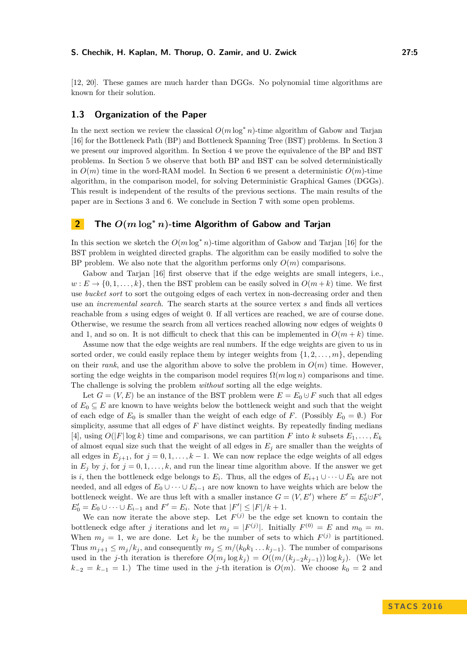[\[12,](#page-12-19) [20\]](#page-12-20). These games are much harder than DGGs. No polynomial time algorithms are known for their solution.

# **1.3 Organization of the Paper**

In the next section we review the classical  $O(m \log^* n)$ -time algorithm of Gabow and Tarjan [\[16\]](#page-12-2) for the Bottleneck Path (BP) and Bottleneck Spanning Tree (BST) problems. In Section [3](#page-5-0) we present our improved algorithm. In Section [4](#page-8-0) we prove the equivalence of the BP and BST problems. In Section [5](#page-9-1) we observe that both BP and BST can be solved deterministically in  $O(m)$  time in the word-RAM model. In Section [6](#page-9-0) we present a deterministic  $O(m)$ -time algorithm, in the comparison model, for solving Deterministic Graphical Games (DGGs). This result is independent of the results of the previous sections. The main results of the paper are in Sections [3](#page-5-0) and [6.](#page-9-0) We conclude in Section [7](#page-11-5) with some open problems.

# <span id="page-4-0"></span>**2 The** *O***(***m* **log<sup>∗</sup>** *n***)-time Algorithm of Gabow and Tarjan**

In this section we sketch the  $O(m \log^* n)$ -time algorithm of Gabow and Tarjan [\[16\]](#page-12-2) for the BST problem in weighted directed graphs. The algorithm can be easily modified to solve the BP problem. We also note that the algorithm performs only  $O(m)$  comparisons.

Gabow and Tarjan [\[16\]](#page-12-2) first observe that if the edge weights are small integers, i.e.,  $w: E \to \{0, 1, \ldots, k\}$ , then the BST problem can be easily solved in  $O(m+k)$  time. We first use *bucket sort* to sort the outgoing edges of each vertex in non-decreasing order and then use an *incremental search*. The search starts at the source vertex *s* and finds all vertices reachable from *s* using edges of weight 0. If all vertices are reached, we are of course done. Otherwise, we resume the search from all vertices reached allowing now edges of weights 0 and 1, and so on. It is not difficult to check that this can be implemented in  $O(m + k)$  time.

Assume now that the edge weights are real numbers. If the edge weights are given to us in sorted order, we could easily replace them by integer weights from  $\{1, 2, \ldots, m\}$ , depending on their *rank*, and use the algorithm above to solve the problem in  $O(m)$  time. However, sorting the edge weights in the comparison model requires  $\Omega(m \log n)$  comparisons and time. The challenge is solving the problem *without* sorting all the edge weights.

Let  $G = (V, E)$  be an instance of the BST problem were  $E = E_0 \cup F$  such that all edges of  $E_0 \subseteq E$  are known to have weights below the bottleneck weight and such that the weight of each edge of  $E_0$  is smaller than the weight of each edge of *F*. (Possibly  $E_0 = \emptyset$ .) For simplicity, assume that all edges of *F* have distinct weights. By repeatedly finding medians [\[4\]](#page-11-6), using  $O(|F| \log k)$  time and comparisons, we can partition F into k subsets  $E_1, \ldots, E_k$ of almost equal size such that the weight of all edges in  $E_j$  are smaller than the weights of all edges in  $E_{j+1}$ , for  $j = 0, 1, \ldots, k-1$ . We can now replace the edge weights of all edges in  $E_j$  by *j*, for  $j = 0, 1, \ldots, k$ , and run the linear time algorithm above. If the answer we get is *i*, then the bottleneck edge belongs to  $E_i$ . Thus, all the edges of  $E_{i+1} \cup \cdots \cup E_k$  are not needed, and all edges of  $E_0 \cup \cdots \cup E_{i-1}$  are now known to have weights which are below the bottleneck weight. We are thus left with a smaller instance  $G = (V, E')$  where  $E' = E'_0 \cup F'$ ,  $E_0' = E_0 \cup \cdots \cup E_{i-1}$  and  $F' = E_i$ . Note that  $|F'| \leq |F|/k + 1$ .

We can now iterate the above step. Let  $F^{(j)}$  be the edge set known to contain the bottleneck edge after *j* iterations and let  $m_j = |F^{(j)}|$ . Initially  $F^{(0)} = E$  and  $m_0 = m$ . When  $m_j = 1$ , we are done. Let  $k_j$  be the number of sets to which  $F^{(j)}$  is partitioned. Thus  $m_{j+1} \leq m_j/k_j$ , and consequently  $m_j \leq m/(k_0k_1 \ldots k_{j-1})$ . The number of comparisons used in the *j*-th iteration is therefore  $O(m_j \log k_j) = O((m/(k_{j-2}k_{j-1}))\log k_j)$ . (We let  $k_{-2} = k_{-1} = 1$ .) The time used in the *j*-th iteration is  $O(m)$ . We choose  $k_0 = 2$  and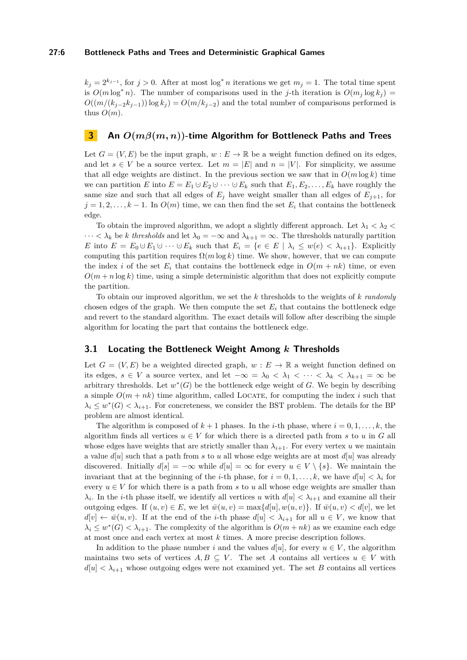#### **27:6 Bottleneck Paths and Trees and Deterministic Graphical Games**

 $k_j = 2^{k_{j-1}}$ , for  $j > 0$ . After at most log<sup>\*</sup> *n* iterations we get  $m_j = 1$ . The total time spent is  $O(m \log^* n)$ . The number of comparisons used in the *j*-th iteration is  $O(m_j \log k_j)$  $O((m/(k_{i-2}k_{i-1}))\log k_i) = O(m/k_{i-2})$  and the total number of comparisons performed is thus  $O(m)$ .

# <span id="page-5-0"></span>**3 An** *O***(***mβ***(***m, n***))-time Algorithm for Bottleneck Paths and Trees**

Let  $G = (V, E)$  be the input graph,  $w : E \to \mathbb{R}$  be a weight function defined on its edges, and let  $s \in V$  be a source vertex. Let  $m = |E|$  and  $n = |V|$ . For simplicity, we assume that all edge weights are distinct. In the previous section we saw that in  $O(m \log k)$  time we can partition *E* into  $E = E_1 \cup E_2 \cup \cdots \cup E_k$  such that  $E_1, E_2, \ldots, E_k$  have roughly the same size and such that all edges of  $E_j$  have weight smaller than all edges of  $E_{j+1}$ , for  $j = 1, 2, \ldots, k - 1$ . In  $O(m)$  time, we can then find the set  $E_i$  that contains the bottleneck edge.

To obtain the improved algorithm, we adopt a slightly different approach. Let  $\lambda_1 < \lambda_2 <$  $\cdots < \lambda_k$  be *k* thresholds and let  $\lambda_0 = -\infty$  and  $\lambda_{k+1} = \infty$ . The thresholds naturally partition *E* into  $E = E_0 \cup E_1 \cup \cdots \cup E_k$  such that  $E_i = \{e \in E \mid \lambda_i \leq w(e) < \lambda_{i+1}\}.$  Explicitly computing this partition requires  $\Omega(m \log k)$  time. We show, however, that we can compute the index *i* of the set  $E_i$  that contains the bottleneck edge in  $O(m + nk)$  time, or even  $O(m + n \log k)$  time, using a simple deterministic algorithm that does not explicitly compute the partition.

To obtain our improved algorithm, we set the *k* thresholds to the weights of *k randomly* chosen edges of the graph. We then compute the set  $E_i$  that contains the bottleneck edge and revert to the standard algorithm. The exact details will follow after describing the simple algorithm for locating the part that contains the bottleneck edge.

# **3.1 Locating the Bottleneck Weight Among** *k* **Thresholds**

Let  $G = (V, E)$  be a weighted directed graph,  $w : E \to \mathbb{R}$  a weight function defined on its edges,  $s \in V$  a source vertex, and let  $-\infty = \lambda_0 < \lambda_1 < \cdots < \lambda_k < \lambda_{k+1} = \infty$  be arbitrary thresholds. Let  $w^*(G)$  be the bottleneck edge weight of *G*. We begin by describing a simple  $O(m + nk)$  time algorithm, called LOCATE, for computing the index *i* such that  $\lambda_i \leq w^*(G) < \lambda_{i+1}$ . For concreteness, we consider the BST problem. The details for the BP problem are almost identical.

The algorithm is composed of  $k + 1$  phases. In the *i*-th phase, where  $i = 0, 1, \ldots, k$ , the algorithm finds all vertices  $u \in V$  for which there is a directed path from *s* to *u* in *G* all whose edges have weights that are strictly smaller than  $\lambda_{i+1}$ . For every vertex *u* we maintain a value  $d[u]$  such that a path from *s* to *u* all whose edge weights are at most  $d[u]$  was already discovered. Initially  $d[s] = -\infty$  while  $d[u] = \infty$  for every  $u \in V \setminus \{s\}$ . We maintain the invariant that at the beginning of the *i*-th phase, for  $i = 0, 1, \ldots, k$ , we have  $d[u] < \lambda_i$  for every  $u \in V$  for which there is a path from *s* to *u* all whose edge weights are smaller than  $\lambda_i$ . In the *i*-th phase itself, we identify all vertices *u* with  $d[u] < \lambda_{i+1}$  and examine all their outgoing edges. If  $(u, v) \in E$ , we let  $\overline{w}(u, v) = \max\{d[u], w(u, v)\}$ . If  $\overline{w}(u, v) < d[v]$ , we let  $d[v] \leftarrow \bar{w}(u, v)$ . If at the end of the *i*-th phase  $d[u] < \lambda_{i+1}$  for all  $u \in V$ , we know that  $\lambda_i \leq w^*(G) < \lambda_{i+1}$ . The complexity of the algorithm is  $O(m+nk)$  as we examine each edge at most once and each vertex at most *k* times. A more precise description follows.

In addition to the phase number *i* and the values  $d[u]$ , for every  $u \in V$ , the algorithm maintains two sets of vertices  $A, B \subseteq V$ . The set *A* contains all vertices  $u \in V$  with  $d[u] < \lambda_{i+1}$  whose outgoing edges were not examined yet. The set *B* contains all vertices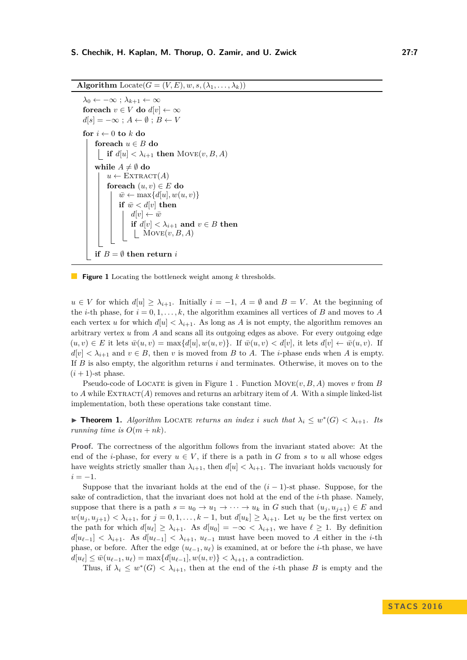<span id="page-6-0"></span>**Algorithm** Locate( $G = (V, E), w, s, (\lambda_1, \ldots, \lambda_k)$ )

```
\lambda_0 \leftarrow -\infty; \lambda_{k+1} \leftarrow \inftyforeach v \in V do d[v] \leftarrow \inftyd[s] = -\infty; A ← \emptyset; B ← V
for i \leftarrow 0 to k do
     foreach u \in B do
      if d[u] < \lambda_{i+1} then MOVE(v, B, A)while A \neq \emptyset do
         u \leftarrow \text{EXTRACT}(A)foreach (u, v) \in E do
               \bar{w} \leftarrow \max\{d[u], w(u, v)\}\if \bar{w} < d[v] then
                   d[v] \leftarrow \bar{w}if d[v] < \lambda_{i+1} and v \in B then
                     \vert Move(v, B, A)if B = \emptyset then return i
```
**Figure 1** Locating the bottleneck weight among *k* thresholds.

*u* ∈ *V* for which  $d[u] \ge \lambda_{i+1}$ . Initially  $i = -1$ ,  $A = ∅$  and  $B = V$ . At the beginning of the *i*-th phase, for  $i = 0, 1, \ldots, k$ , the algorithm examines all vertices of *B* and moves to *A* each vertex *u* for which  $d[u] < \lambda_{i+1}$ . As long as *A* is not empty, the algorithm removes an arbitrary vertex *u* from *A* and scans all its outgoing edges as above. For every outgoing edge  $(u, v) \in E$  it lets  $\overline{w}(u, v) = \max\{d[u], w(u, v)\}.$  If  $\overline{w}(u, v) < d[v],$  it lets  $d[v] \leftarrow \overline{w}(u, v).$  If  $d[v] < \lambda_{i+1}$  and  $v \in B$ , then *v* is moved from *B* to *A*. The *i*-phase ends when *A* is empty. If *B* is also empty, the algorithm returns *i* and terminates. Otherwise, it moves on to the  $(i + 1)$ -st phase.

Pseudo-code of LOCATE is given in Figure [1](#page-6-0). Function  $Move(v, B, A)$  moves *v* from *B* to  $A$  while  $\text{EXTRACT}(A)$  removes and returns an arbitrary item of  $A$ . With a simple linked-list implementation, both these operations take constant time.

► **Theorem 1.** *Algorithm* LOCATE *returns an index i such that*  $\lambda_i \leq w^*(G) < \lambda_{i+1}$ *. Its running time is*  $O(m + nk)$ *.* 

**Proof.** The correctness of the algorithm follows from the invariant stated above: At the end of the *i*-phase, for every  $u \in V$ , if there is a path in *G* from *s* to *u* all whose edges have weights strictly smaller than  $\lambda_{i+1}$ , then  $d[u] < \lambda_{i+1}$ . The invariant holds vacuously for  $i = -1$ .

Suppose that the invariant holds at the end of the  $(i-1)$ -st phase. Suppose, for the sake of contradiction, that the invariant does not hold at the end of the *i*-th phase. Namely, suppose that there is a path  $s = u_0 \rightarrow u_1 \rightarrow \cdots \rightarrow u_k$  in *G* such that  $(u_i, u_{i+1}) \in E$  and  $w(u_j, u_{j+1}) < \lambda_{i+1}$ , for  $j = 0, 1, \ldots, k-1$ , but  $d[u_k] \geq \lambda_{i+1}$ . Let  $u_\ell$  be the first vertex on the path for which  $d[u_\ell] \geq \lambda_{i+1}$ . As  $d[u_0] = -\infty < \lambda_{i+1}$ , we have  $\ell \geq 1$ . By definition  $d[u_{\ell-1}] < \lambda_{i+1}$ . As  $d[u_{\ell-1}] < \lambda_{i+1}$ ,  $u_{\ell-1}$  must have been moved to *A* either in the *i*-th phase, or before. After the edge  $(u_{\ell-1}, u_{\ell})$  is examined, at or before the *i*-th phase, we have  $d[u_{\ell}] \leq \bar{w}(u_{\ell-1}, u_{\ell}) = \max\{d[u_{\ell-1}], w(u, v)\} < \lambda_{i+1}$ , a contradiction.

Thus, if  $\lambda_i \leq w^*(G) < \lambda_{i+1}$ , then at the end of the *i*-th phase *B* is empty and the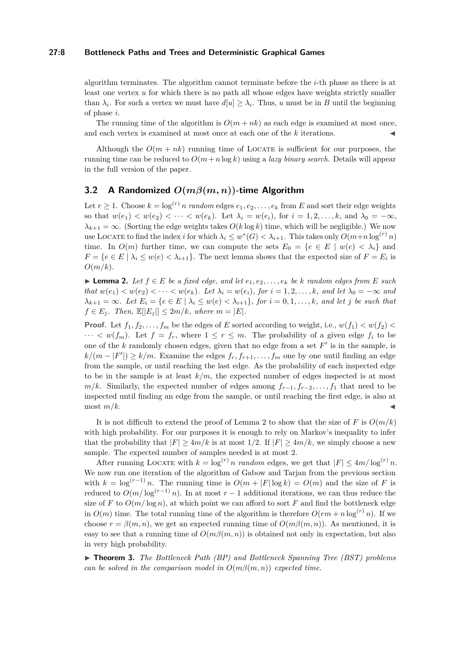## **27:8 Bottleneck Paths and Trees and Deterministic Graphical Games**

algorithm terminates. The algorithm cannot terminate before the *i*-th phase as there is at least one vertex *u* for which there is no path all whose edges have weights strictly smaller than  $\lambda_i$ . For such a vertex we must have  $d[u] \geq \lambda_i$ . Thus, *u* must be in *B* until the beginning of phase *i*.

The running time of the algorithm is  $O(m + nk)$  as each edge is examined at most once, and each vertex is examined at most once at each one of the  $k$  iterations.

Although the  $O(m + nk)$  running time of LOCATE is sufficient for our purposes, the running time can be reduced to  $O(m + n \log k)$  using a *lazy binary search*. Details will appear in the full version of the paper.

# **3.2 A Randomized** *O***(***mβ***(***m, n***))-time Algorithm**

Let  $r \geq 1$ . Choose  $k = \log^{(r)} n$  *random* edges  $e_1, e_2, \ldots, e_k$  from *E* and sort their edge weights so that  $w(e_1) < w(e_2) < \cdots < w(e_k)$ . Let  $\lambda_i = w(e_i)$ , for  $i = 1, 2, \ldots, k$ , and  $\lambda_0 = -\infty$ ,  $\lambda_{k+1} = \infty$ . (Sorting the edge weights takes  $O(k \log k)$  time, which will be negligible.) We now use LOCATE to find the index *i* for which  $\lambda_i \leq w^*(G) < \lambda_{i+1}$ . This takes only  $O(m+n \log^{(r)} n)$ time. In  $O(m)$  further time, we can compute the sets  $E_0 = \{e \in E \mid w(e) < \lambda_i\}$  and  $F = \{e \in E \mid \lambda_i \leq w(e) < \lambda_{i+1}\}.$  The next lemma shows that the expected size of  $F = E_i$  is *O*(*m/k*).

<span id="page-7-0"></span>► **Lemma 2.** Let  $f \in E$  be a fixed edge, and let  $e_1, e_2, \ldots, e_k$  be k random edges from E such that  $w(e_1) < w(e_2) < \cdots < w(e_k)$ . Let  $\lambda_i = w(e_i)$ , for  $i = 1, 2, \ldots, k$ , and let  $\lambda_0 = -\infty$  and  $\lambda_{k+1} = \infty$ . Let  $E_i = \{e \in E \mid \lambda_i \leq w(e) < \lambda_{i+1}\}\$ , for  $i = 0, 1, \ldots, k$ , and let j be such that  $f \in E_i$ *. Then,*  $\mathbb{E}[|E_i|] \leq 2m/k$ *, where*  $m = |E|$ *.* 

**Proof.** Let  $f_1, f_2, \ldots, f_m$  be the edges of *E* sorted according to weight, i.e.,  $w(f_1) < w(f_2)$  $\cdots < w(f_m)$ . Let  $f = f_r$ , where  $1 \leq r \leq m$ . The probability of a given edge  $f_i$  to be one of the  $k$  randomly chosen edges, given that no edge from a set  $F'$  is in the sample, is  $k/(m - |F'|) \geq k/m$ . Examine the edges  $f_r, f_{r+1}, \ldots, f_m$  one by one until finding an edge from the sample, or until reaching the last edge. As the probability of each inspected edge to be in the sample is at least  $k/m$ , the expected number of edges inspected is at most *m/k*. Similarly, the expected number of edges among  $f_{r-1}, f_{r-2}, \ldots, f_1$  that need to be inspected until finding an edge from the sample, or until reaching the first edge, is also at  $\frac{m}{k}$ .

It is not difficult to extend the proof of Lemma [2](#page-7-0) to show that the size of *F* is  $O(m/k)$ with high probability. For our purposes it is enough to rely on Markov's inequality to infer that the probability that  $|F| \geq 4m/k$  is at most  $1/2$ . If  $|F| \geq 4m/k$ , we simply choose a new sample. The expected number of samples needed is at most 2.

After running LOCATE with  $k = \log^{(r)} n$  *random* edges, we get that  $|F| \leq 4m/\log^{(r)} n$ . We now run one iteration of the algorithm of Gabow and Tarjan from the previous section with  $k = \log^{(r-1)} n$ . The running time is  $O(m + |F| \log k) = O(m)$  and the size of *F* is reduced to  $O(m/\log^{(r-1)} n)$ . In at most  $r-1$  additional iterations, we can thus reduce the size of *F* to  $O(m/\log n)$ , at which point we can afford to sort *F* and find the bottleneck edge in  $O(m)$  time. The total running time of the algorithm is therefore  $O(rm + n \log^{(r)} n)$ . If we choose  $r = \beta(m, n)$ , we get an expected running time of  $O(m\beta(m, n))$ . As mentioned, it is easy to see that a running time of  $O(m\beta(m,n))$  is obtained not only in expectation, but also in very high probability.

▶ **Theorem 3.** *The Bottleneck Path (BP) and Bottleneck Spanning Tree (BST) problems can be solved in the comparison model in*  $O(m\beta(m,n))$  *expected time.*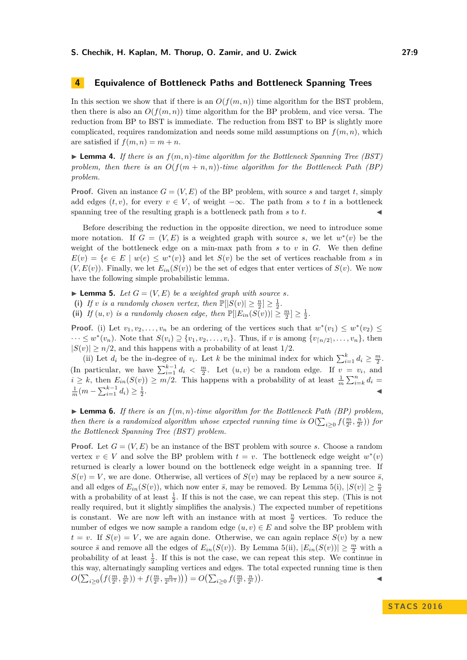# <span id="page-8-0"></span>**4 Equivalence of Bottleneck Paths and Bottleneck Spanning Trees**

In this section we show that if there is an  $O(f(m, n))$  time algorithm for the BST problem, then there is also an  $O(f(m, n))$  time algorithm for the BP problem, and vice versa. The reduction from BP to BST is immediate. The reduction from BST to BP is slightly more complicated, requires randomization and needs some mild assumptions on  $f(m, n)$ , which are satisfied if  $f(m, n) = m + n$ .

**Lemma 4.** If there is an  $f(m, n)$ -time algorithm for the Bottleneck Spanning Tree (BST) *problem, then there is an*  $O(f(m+n,n))$ *-time algorithm for the Bottleneck Path (BP) problem.*

**Proof.** Given an instance  $G = (V, E)$  of the BP problem, with source *s* and target *t*, simply add edges  $(t, v)$ , for every  $v \in V$ , of weight  $-\infty$ . The path from *s* to *t* in a bottleneck spanning tree of the resulting graph is a bottleneck path from  $s$  to  $t$ .

Before describing the reduction in the opposite direction, we need to introduce some more notation. If  $G = (V, E)$  is a weighted graph with source *s*, we let  $w^*(v)$  be the weight of the bottleneck edge on a min-max path from *s* to *v* in *G*. We then define  $E(v) = \{e \in E \mid w(e) \leq w^*(v)\}\$ and let  $S(v)$  be the set of vertices reachable from *s* in  $(V, E(v))$ . Finally, we let  $E_{in}(S(v))$  be the set of edges that enter vertices of  $S(v)$ . We now have the following simple probabilistic lemma.

<span id="page-8-1"></span> $\blacktriangleright$  **Lemma 5.** *Let*  $G = (V, E)$  *be a weighted graph with source s.* 

(i) If *v* is a randomly chosen vertex, then  $\mathbb{P}[|S(v)| \geq \frac{n}{2}] \geq \frac{1}{2}$ .

(ii) *If*  $(u, v)$  *is a randomly chosen edge, then*  $\mathbb{P}[|E_{in}(S(v))| \geq \frac{m}{2}] \geq \frac{1}{2}$ .

**Proof.** (i) Let  $v_1, v_2, \ldots, v_n$  be an ordering of the vertices such that  $w^*(v_1) \leq w^*(v_2) \leq$  $\cdots \leq w^*(v_n)$ . Note that  $S(v_i) \supseteq \{v_1, v_2, \ldots, v_i\}$ . Thus, if *v* is among  $\{v_{\lceil n/2 \rceil}, \ldots, v_n\}$ , then  $|S(v)| \ge n/2$ , and this happens with a probability of at least  $1/2$ .

(ii) Let  $d_i$  be the in-degree of  $v_i$ . Let  $k$  be the minimal index for which  $\sum_{i=1}^{k} d_i \geq \frac{m}{2}$ . (In particular, we have  $\sum_{i=1}^{k-1} d_i < \frac{m}{2}$ . Let  $(u, v)$  be a random edge. If  $v = v_i$ , and  $i \geq k$ , then  $E_{in}(S(v)) \geq m/2$ . This happens with a probability of at least  $\frac{1}{m} \sum_{i=k}^{n} d_i =$  $\frac{1}{m}(m - \sum_{i=1}^{k-1} d_i) \geq \frac{1}{2}$ . J

 $\blacktriangleright$  **Lemma 6.** If there is an  $f(m, n)$ -time algorithm for the Bottleneck Path (BP) problem, *then there is a randomized algorithm whose expected running time is*  $O(\sum_{i\geq 0} f(\frac{m}{2^i}, \frac{n}{2^i}))$  *for the Bottleneck Spanning Tree (BST) problem.*

**Proof.** Let  $G = (V, E)$  be an instance of the BST problem with source *s*. Choose a random vertex  $v \in V$  and solve the BP problem with  $t = v$ . The bottleneck edge weight  $w^*(v)$ returned is clearly a lower bound on the bottleneck edge weight in a spanning tree. If  $S(v) = V$ , we are done. Otherwise, all vertices of  $S(v)$  may be replaced by a new source  $\bar{s}$ . and all edges of  $E_{in}(S(v))$ , which now enter  $\bar{s}$ , may be removed. By Lemma [5\(](#page-8-1)i),  $|S(v)| \geq \frac{n}{2}$ with a probability of at least  $\frac{1}{2}$ . If this is not the case, we can repeat this step. (This is not really required, but it slightly simplifies the analysis.) The expected number of repetitions is constant. We are now left with an instance with at most  $\frac{n}{2}$  vertices. To reduce the number of edges we now sample a random edge  $(u, v) \in E$  and solve the BP problem with  $t = v$ . If  $S(v) = V$ , we are again done. Otherwise, we can again replace  $S(v)$  by a new source  $\bar{s}$  and remove all the edges of  $E_{in}(S(v))$ . By Lemma [5\(](#page-8-1)ii),  $|E_{in}(S(v))| \geq \frac{m}{2}$  with a probability of at least  $\frac{1}{2}$ . If this is not the case, we can repeat this step. We continue in this way, alternatingly sampling vertices and edges. The total expected running time is then  $O\bigl(\sum_{i\geq 0}\bigl(f(\frac{m}{2^i},\frac{n}{2^i})\bigr)+f(\frac{m}{2^i},\frac{n}{2^{i+1}})\bigr)\bigr)=O\bigl(\sum_{i\geq 0}f(\frac{m}{2^i},\frac{n}{2^i})\bigr)$ . John Paris, John Paris, John Paris, John Paris, John Paris, John Paris, John Paris, John Paris, John Paris,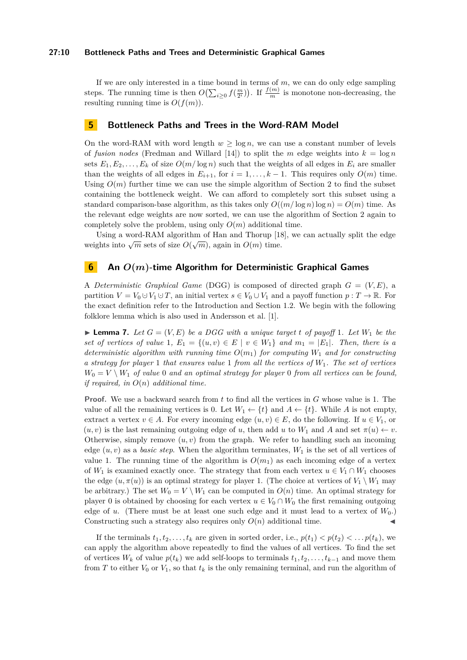#### **27:10 Bottleneck Paths and Trees and Deterministic Graphical Games**

If we are only interested in a time bound in terms of *m*, we can do only edge sampling steps. The running time is then  $O(\sum_{i\geq 0} f(\frac{m}{2^i}))$ . If  $\frac{f(m)}{m}$  is monotone non-decreasing, the resulting running time is  $O(f(m))$ .

## <span id="page-9-1"></span>**5 Bottleneck Paths and Trees in the Word-RAM Model**

On the word-RAM with word length  $w > \log n$ , we can use a constant number of levels of *fusion nodes* (Fredman and Willard [\[14\]](#page-12-21)) to split the *m* edge weights into  $k = \log n$ sets  $E_1, E_2, \ldots, E_k$  of size  $O(m/\log n)$  such that the weights of all edges in  $E_i$  are smaller than the weights of all edges in  $E_{i+1}$ , for  $i = 1, \ldots, k-1$ . This requires only  $O(m)$  time. Using  $O(m)$  further time we can use the simple algorithm of Section [2](#page-4-0) to find the subset containing the bottleneck weight. We can afford to completely sort this subset using a standard comparison-base algorithm, as this takes only  $O((m/\log n)\log n) = O(m)$  time. As the relevant edge weights are now sorted, we can use the algorithm of Section [2](#page-4-0) again to completely solve the problem, using only  $O(m)$  additional time.

Using a word-RAM algorithm of Han and Thorup [\[18\]](#page-12-22), we can actually split the edge weights into  $\sqrt{m}$  sets of size  $O(\sqrt{m})$ , again in  $O(m)$  time.

# <span id="page-9-0"></span>**6 An** *O***(***m***)-time Algorithm for Deterministic Graphical Games**

A *Deterministic Graphical Game* (DGG) is composed of directed graph *G* = (*V, E*), a partition  $V = V_0 \cup V_1 \cup T$ , an initial vertex  $s \in V_0 \cup V_1$  and a payoff function  $p: T \to \mathbb{R}$ . For the exact definition refer to the Introduction and Section [1.2.](#page-3-0) We begin with the following folklore lemma which is also used in Andersson et al. [\[1\]](#page-11-0).

<span id="page-9-2"></span>**Example 7.** Let  $G = (V, E)$  be a DGG with a unique target t of payoff 1. Let  $W_1$  be the *set of vertices of value* 1*,*  $E_1 = \{(u, v) \in E \mid v \in W_1\}$  and  $m_1 = |E_1|$ . Then, there is a *deterministic algorithm with running time*  $O(m_1)$  *for computing*  $W_1$  *and for constructing a strategy for player* 1 *that ensures value* 1 *from all the vertices of W*1*. The set of vertices*  $W_0 = V \setminus W_1$  *of value* 0 *and an optimal strategy for player* 0 *from all vertices can be found, if required, in O*(*n*) *additional time.*

**Proof.** We use a backward search from *t* to find all the vertices in *G* whose value is 1. The value of all the remaining vertices is 0. Let  $W_1 \leftarrow \{t\}$  and  $A \leftarrow \{t\}$ . While A is not empty, extract a vertex  $v \in A$ . For every incoming edge  $(u, v) \in E$ , do the following. If  $u \in V_1$ , or  $(u, v)$  is the last remaining outgoing edge of *u*, then add *u* to  $W_1$  and *A* and set  $\pi(u) \leftarrow v$ . Otherwise, simply remove  $(u, v)$  from the graph. We refer to handling such an incoming edge  $(u, v)$  as a *basic step*. When the algorithm terminates,  $W_1$  is the set of all vertices of value 1. The running time of the algorithm is  $O(m_1)$  as each incoming edge of a vertex of  $W_1$  is examined exactly once. The strategy that from each vertex  $u \in V_1 \cap W_1$  chooses the edge  $(u, \pi(u))$  is an optimal strategy for player 1. (The choice at vertices of  $V_1 \setminus W_1$  may be arbitrary.) The set  $W_0 = V \setminus W_1$  can be computed in  $O(n)$  time. An optimal strategy for player 0 is obtained by choosing for each vertex  $u \in V_0 \cap W_0$  the first remaining outgoing edge of *u*. (There must be at least one such edge and it must lead to a vertex of  $W_0$ .) Constructing such a strategy also requires only  $O(n)$  additional time.

If the terminals  $t_1, t_2, \ldots, t_k$  are given in sorted order, i.e.,  $p(t_1) < p(t_2) < \ldots p(t_k)$ , we can apply the algorithm above repeatedly to find the values of all vertices. To find the set of vertices  $W_k$  of value  $p(t_k)$  we add self-loops to terminals  $t_1, t_2, \ldots, t_{k-1}$  and move them from *T* to either  $V_0$  or  $V_1$ , so that  $t_k$  is the only remaining terminal, and run the algorithm of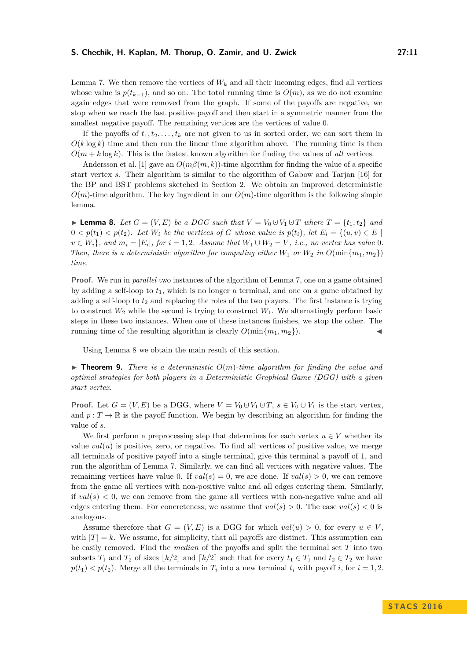Lemma [7.](#page-9-2) We then remove the vertices of  $W_k$  and all their incoming edges, find all vertices whose value is  $p(t_{k-1})$ , and so on. The total running time is  $O(m)$ , as we do not examine again edges that were removed from the graph. If some of the payoffs are negative, we stop when we reach the last positive payoff and then start in a symmetric manner from the smallest negative payoff. The remaining vertices are the vertices of value 0.

If the payoffs of  $t_1, t_2, \ldots, t_k$  are not given to us in sorted order, we can sort them in  $O(k \log k)$  time and then run the linear time algorithm above. The running time is then  $O(m + k \log k)$ . This is the fastest known algorithm for finding the values of *all* vertices.

Andersson et al. [\[1\]](#page-11-0) gave an  $O(m\beta(m, k))$ -time algorithm for finding the value of a specific start vertex *s*. Their algorithm is similar to the algorithm of Gabow and Tarjan [\[16\]](#page-12-2) for the BP and BST problems sketched in Section [2.](#page-4-0) We obtain an improved deterministic  $O(m)$ -time algorithm. The key ingredient in our  $O(m)$ -time algorithm is the following simple lemma.

<span id="page-10-0"></span>▶ **Lemma 8.** *Let*  $G = (V, E)$  *be a DGG such that*  $V = V_0 \cup V_1 \cup T$  *where*  $T = \{t_1, t_2\}$  *and*  $0 < p(t_1) < p(t_2)$ . Let  $W_i$  be the vertices of G whose value is  $p(t_i)$ , let  $E_i = \{(u, v) \in E \mid \mathcal{E}_i\}$  $v \in W_i$ , and  $m_i = |E_i|$ , for  $i = 1, 2$ *. Assume that*  $W_1 \cup W_2 = V$ , *i.e.*, no vertex has value 0*. Then, there is a deterministic algorithm for computing either*  $W_1$  *or*  $W_2$  *in*  $O(\min\{m_1, m_2\})$ *time.*

**Proof.** We run in *parallel* two instances of the algorithm of Lemma [7,](#page-9-2) one on a game obtained by adding a self-loop to  $t_1$ , which is no longer a terminal, and one on a game obtained by adding a self-loop to  $t_2$  and replacing the roles of the two players. The first instance is trying to construct  $W_2$  while the second is trying to construct  $W_1$ . We alternatingly perform basic steps in these two instances. When one of these instances finishes, we stop the other. The running time of the resulting algorithm is clearly  $O(\min\{m_1, m_2\})$ .

Using Lemma [8](#page-10-0) we obtain the main result of this section.

**Figure 1.** Theorem 9. There is a deterministic  $O(m)$ -time algorithm for finding the value and *optimal strategies for both players in a Deterministic Graphical Game (DGG) with a given start vertex.*

**Proof.** Let  $G = (V, E)$  be a DGG, where  $V = V_0 \cup V_1 \cup T$ ,  $s \in V_0 \cup V_1$  is the start vertex, and  $p: T \to \mathbb{R}$  is the payoff function. We begin by describing an algorithm for finding the value of *s*.

We first perform a preprocessing step that determines for each vertex  $u \in V$  whether its value  $val(u)$  is positive, zero, or negative. To find all vertices of positive value, we merge all terminals of positive payoff into a single terminal, give this terminal a payoff of 1, and run the algorithm of Lemma [7.](#page-9-2) Similarly, we can find all vertices with negative values. The remaining vertices have value 0. If  $val(s) = 0$ , we are done. If  $val(s) > 0$ , we can remove from the game all vertices with non-positive value and all edges entering them. Similarly, if  $val(s) < 0$ , we can remove from the game all vertices with non-negative value and all edges entering them. For concreteness, we assume that  $val(s) > 0$ . The case  $val(s) < 0$  is analogous.

Assume therefore that  $G = (V, E)$  is a DGG for which  $val(u) > 0$ , for every  $u \in V$ . with  $|T| = k$ . We assume, for simplicity, that all payoffs are distinct. This assumption can be easily removed. Find the *median* of the payoffs and split the terminal set *T* into two subsets  $T_1$  and  $T_2$  of sizes  $\lfloor k/2 \rfloor$  and  $\lceil k/2 \rceil$  such that for every  $t_1 \in T_1$  and  $t_2 \in T_2$  we have  $p(t_1) < p(t_2)$ . Merge all the terminals in  $T_i$  into a new terminal  $t_i$  with payoff *i*, for  $i = 1, 2$ .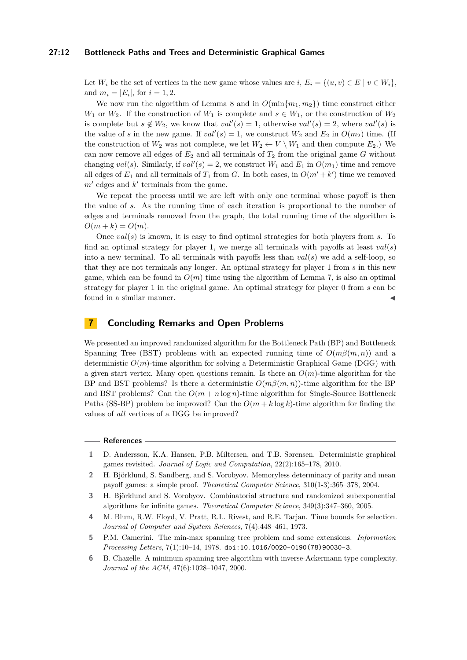#### **27:12 Bottleneck Paths and Trees and Deterministic Graphical Games**

Let  $W_i$  be the set of vertices in the new game whose values are *i*,  $E_i = \{(u, v) \in E \mid v \in W_i\}$ , and  $m_i = |E_i|$ , for  $i = 1, 2$ .

We now run the algorithm of Lemma [8](#page-10-0) and in  $O(\min\{m_1, m_2\})$  time construct either *W*<sub>1</sub> or *W*<sub>2</sub>. If the construction of *W*<sub>1</sub> is complete and  $s \in W_1$ , or the construction of *W*<sub>2</sub> is complete but  $s \notin W_2$ , we know that  $val'(s) = 1$ , otherwise  $val'(s) = 2$ , where  $val'(s)$  is the value of *s* in the new game. If  $val'(s) = 1$ , we construct  $W_2$  and  $E_2$  in  $O(m_2)$  time. (If the construction of  $W_2$  was not complete, we let  $W_2 \leftarrow V \setminus W_1$  and then compute  $E_2$ .) We can now remove all edges of  $E_2$  and all terminals of  $T_2$  from the original game  $G$  without changing *val*(*s*). Similarly, if  $val'(s) = 2$ , we construct  $W_1$  and  $E_1$  in  $O(m_1)$  time and remove all edges of  $E_1$  and all terminals of  $T_1$  from  $G$ . In both cases, in  $O(m' + k')$  time we removed  $m'$  edges and  $k'$  terminals from the game.

We repeat the process until we are left with only one terminal whose payoff is then the value of *s*. As the running time of each iteration is proportional to the number of edges and terminals removed from the graph, the total running time of the algorithm is  $O(m + k) = O(m)$ .

Once *val*(*s*) is known, it is easy to find optimal strategies for both players from *s*. To find an optimal strategy for player 1, we merge all terminals with payoffs at least *val*(*s*) into a new terminal. To all terminals with payoffs less than *val*(*s*) we add a self-loop, so that they are not terminals any longer. An optimal strategy for player 1 from *s* in this new game, which can be found in  $O(m)$  time using the algorithm of Lemma [7,](#page-9-2) is also an optimal strategy for player 1 in the original game. An optimal strategy for player 0 from *s* can be found in a similar manner.

# <span id="page-11-5"></span>**7 Concluding Remarks and Open Problems**

We presented an improved randomized algorithm for the Bottleneck Path (BP) and Bottleneck Spanning Tree (BST) problems with an expected running time of  $O(m\beta(m,n))$  and a deterministic  $O(m)$ -time algorithm for solving a Deterministic Graphical Game (DGG) with a given start vertex. Many open questions remain. Is there an  $O(m)$ -time algorithm for the BP and BST problems? Is there a deterministic  $O(m\beta(m,n))$ -time algorithm for the BP and BST problems? Can the  $O(m + n \log n)$ -time algorithm for Single-Source Bottleneck Paths (SS-BP) problem be improved? Can the  $O(m + k \log k)$ -time algorithm for finding the values of *all* vertices of a DGG be improved?

## **References**

- <span id="page-11-0"></span>**1** D. Andersson, K.A. Hansen, P.B. Miltersen, and T.B. Sørensen. Deterministic graphical games revisited. *Journal of Logic and Computation*, 22(2):165–178, 2010.
- <span id="page-11-3"></span>**2** H. Björklund, S. Sandberg, and S. Vorobyov. Memoryless determinacy of parity and mean payoff games: a simple proof. *Theoretical Computer Science*, 310(1-3):365–378, 2004.
- <span id="page-11-4"></span>**3** H. Björklund and S. Vorobyov. Combinatorial structure and randomized subexponential algorithms for infinite games. *Theoretical Computer Science*, 349(3):347–360, 2005.
- <span id="page-11-6"></span>**4** M. Blum, R.W. Floyd, V. Pratt, R.L. Rivest, and R.E. Tarjan. Time bounds for selection. *Journal of Computer and System Sciences*, 7(4):448–461, 1973.
- <span id="page-11-1"></span>**5** P.M. Camerini. The min-max spanning tree problem and some extensions. *Information Processing Letters*, 7(1):10–14, 1978. [doi:10.1016/0020-0190\(78\)90030-3](http://dx.doi.org/10.1016/0020-0190(78)90030-3).
- <span id="page-11-2"></span>**6** B. Chazelle. A minimum spanning tree algorithm with inverse-Ackermann type complexity. *Journal of the ACM*, 47(6):1028–1047, 2000.